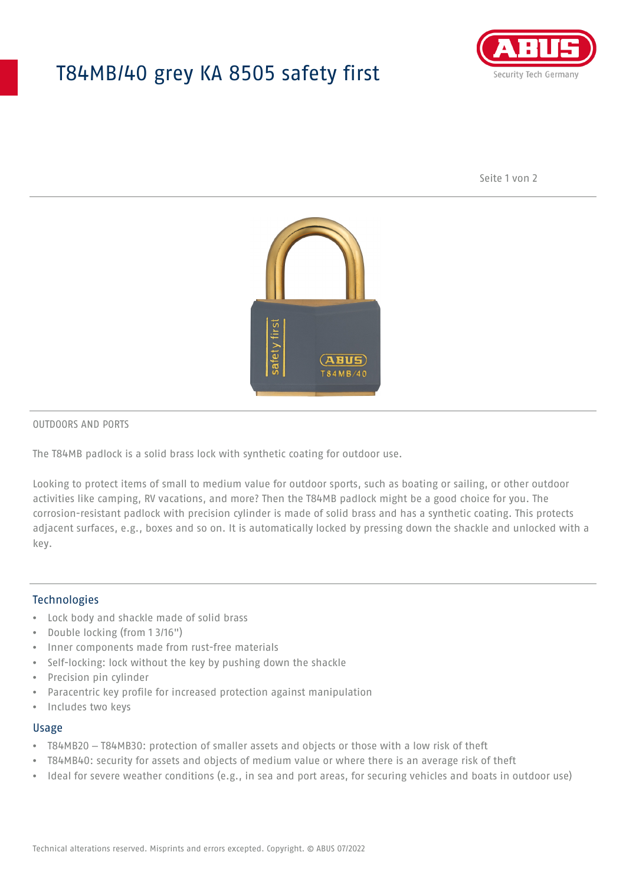## T84MB/40 grey KA 8505 safety first



Seite 1 von 2



#### OUTDOORS AND PORTS

The T84MB padlock is a solid brass lock with synthetic coating for outdoor use.

Looking to protect items of small to medium value for outdoor sports, such as boating or sailing, or other outdoor activities like camping, RV vacations, and more? Then the T84MB padlock might be a good choice for you. The corrosion-resistant padlock with precision cylinder is made of solid brass and has a synthetic coating. This protects adjacent surfaces, e.g., boxes and so on. It is automatically locked by pressing down the shackle and unlocked with a key.

#### Technologies

- Lock body and shackle made of solid brass
- Double locking (from 1 3/16")
- Inner components made from rust-free materials
- Self-locking: lock without the key by pushing down the shackle
- Precision pin cylinder
- Paracentric key profile for increased protection against manipulation
- Includes two keys

#### Usage

- T84MB20 T84MB30: protection of smaller assets and objects or those with a low risk of theft
- T84MB40: security for assets and objects of medium value or where there is an average risk of theft
- Ideal for severe weather conditions (e.g., in sea and port areas, for securing vehicles and boats in outdoor use)